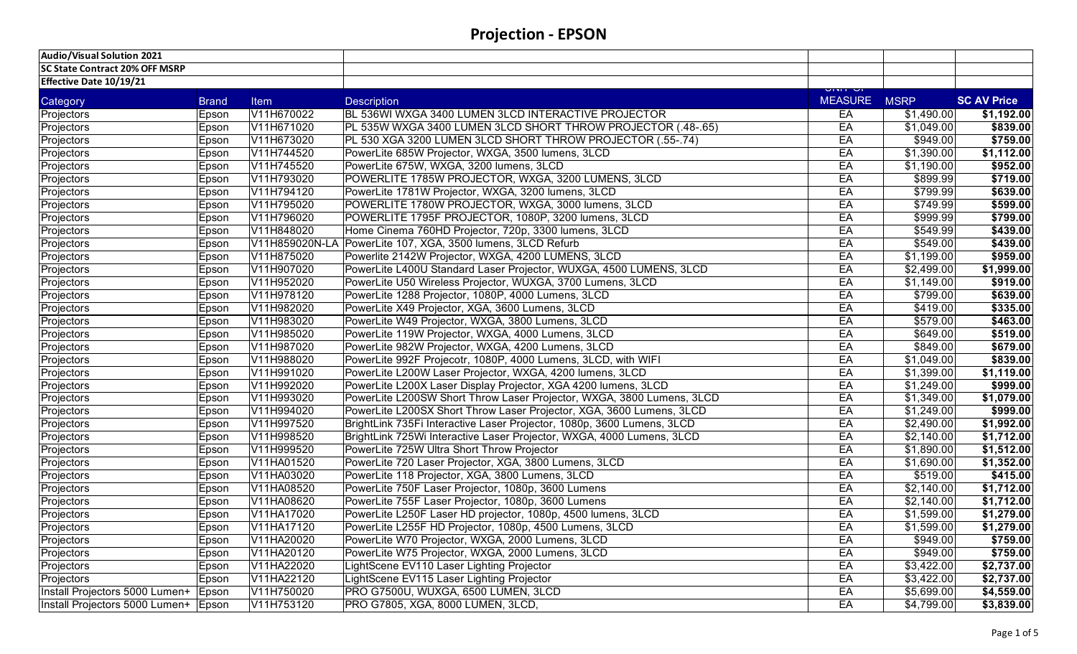| Audio/Visual Solution 2021             |              |             |                                                                        |                                |            |                    |
|----------------------------------------|--------------|-------------|------------------------------------------------------------------------|--------------------------------|------------|--------------------|
| SC State Contract 20% OFF MSRP         |              |             |                                                                        |                                |            |                    |
| Effective Date 10/19/21                |              |             |                                                                        |                                |            |                    |
| Category                               | <b>Brand</b> | <b>Item</b> | <b>Description</b>                                                     | <b>UNIT UI</b><br>MEASURE MSRP |            | <b>SC AV Price</b> |
| Projectors                             | Epson        | V11H670022  | BL 536WI WXGA 3400 LUMEN 3LCD INTERACTIVE PROJECTOR                    | EA                             | \$1,490.00 | \$1,192.00         |
| Projectors                             | Epson        | V11H671020  | PL 535W WXGA 3400 LUMEN 3LCD SHORT THROW PROJECTOR (.48-.65)           | EA                             | \$1,049.00 | \$839.00           |
| Projectors                             | Epson        | V11H673020  | PL 530 XGA 3200 LUMEN 3LCD SHORT THROW PROJECTOR (.55-.74)             | EA                             | \$949.00   | \$759.00           |
| Projectors                             | Epson        | V11H744520  | PowerLite 685W Projector, WXGA, 3500 lumens, 3LCD                      | EA                             | \$1,390.00 | \$1,112.00         |
| Projectors                             | Epson        | V11H745520  | PowerLite 675W, WXGA, 3200 lumens, 3LCD                                | EA                             | \$1,190.00 | \$952.00           |
| Projectors                             | Epson        | V11H793020  | POWERLITE 1785W PROJECTOR, WXGA, 3200 LUMENS, 3LCD                     | EA                             | \$899.99   | \$719.00           |
| Projectors                             | Epson        | V11H794120  | PowerLite 1781W Projector, WXGA, 3200 lumens, 3LCD                     | EA                             | \$799.99   | \$639.00           |
| Projectors                             | Epson        | V11H795020  | POWERLITE 1780W PROJECTOR, WXGA, 3000 lumens, 3LCD                     | EA                             | \$749.99   | \$599.00           |
| Projectors                             | Epson        | V11H796020  | POWERLITE 1795F PROJECTOR, 1080P, 3200 lumens, 3LCD                    | EA                             | \$999.99   | \$799.00           |
| Projectors                             | Epson        | V11H848020  | Home Cinema 760HD Projector, 720p, 3300 lumens, 3LCD                   | EA                             | \$549.99   | \$439.00           |
| Projectors                             | Epson        |             | V11H859020N-LA PowerLite 107, XGA, 3500 lumens, 3LCD Refurb            | EA                             | \$549.00   | \$439.00           |
| Projectors                             | Epson        | V11H875020  | Powerlite 2142W Projector, WXGA, 4200 LUMENS, 3LCD                     | EA                             | \$1,199.00 | \$959.00           |
| Projectors                             | Epson        | V11H907020  | PowerLite L400U Standard Laser Projector, WUXGA, 4500 LUMENS, 3LCD     | EA                             | \$2,499.00 | \$1,999.00         |
| Projectors                             | Epson        | V11H952020  | PowerLite U50 Wireless Projector, WUXGA, 3700 Lumens, 3LCD             | EA                             | \$1,149.00 | \$919.00           |
| Projectors                             | Epson        | V11H978120  | PowerLite 1288 Projector, 1080P, 4000 Lumens, 3LCD                     | EA                             | \$799.00   | \$639.00           |
| Projectors                             | Epson        | V11H982020  | PowerLite X49 Projector, XGA, 3600 Lumens, 3LCD                        | EA                             | \$419.00   | \$335.00           |
| Projectors                             | Epson        | V11H983020  | PowerLite W49 Projector, WXGA, 3800 Lumens, 3LCD                       | EA                             | \$579.00   | \$463.00           |
| Projectors                             | Epson        | V11H985020  | PowerLite 119W Projector, WXGA, 4000 Lumens, 3LCD                      | EA                             | \$649.00   | \$519.00           |
| Projectors                             | Epson        | V11H987020  | PowerLite 982W Projector, WXGA, 4200 Lumens, 3LCD                      | EA                             | \$849.00   | \$679.00           |
| Projectors                             | Epson        | V11H988020  | PowerLite 992F Projecotr, 1080P, 4000 Lumens, 3LCD, with WIFI          | EA                             | \$1,049.00 | \$839.00           |
| Projectors                             | Epson        | V11H991020  | PowerLite L200W Laser Projector, WXGA, 4200 lumens, 3LCD               | EA                             | \$1,399.00 | \$1,119.00         |
| Projectors                             | Epson        | V11H992020  | PowerLite L200X Laser Display Projector, XGA 4200 lumens, 3LCD         | EA                             | \$1,249.00 | \$999.00           |
| Projectors                             | Epson        | V11H993020  | PowerLite L200SW Short Throw Laser Projector, WXGA, 3800 Lumens, 3LCD  | EA                             | \$1,349.00 | \$1,079.00         |
| Projectors                             | Epson        | V11H994020  | PowerLite L200SX Short Throw Laser Projector, XGA, 3600 Lumens, 3LCD   | EA                             | \$1,249.00 | \$999.00           |
| Projectors                             | Epson        | V11H997520  | BrightLink 735Fi Interactive Laser Projector, 1080p, 3600 Lumens, 3LCD | EA                             | \$2,490.00 | \$1,992.00         |
| Projectors                             | Epson        | V11H998520  | BrightLink 725Wi Interactive Laser Projector, WXGA, 4000 Lumens, 3LCD  | EA                             | \$2,140.00 | \$1,712.00         |
| Projectors                             | Epson        | V11H999520  | PowerLite 725W Ultra Short Throw Projector                             | EA                             | \$1,890.00 | \$1,512.00         |
| Projectors                             | Epson        | V11HA01520  | PowerLite 720 Laser Projector, XGA, 3800 Lumens, 3LCD                  | EA                             | \$1,690.00 | \$1,352.00         |
| Projectors                             | Epson        | V11HA03020  | PowerLite 118 Projector, XGA, 3800 Lumens, 3LCD                        | EA                             | \$519.00   | \$415.00           |
| Projectors                             | Epson        | V11HA08520  | PowerLite 750F Laser Projector, 1080p, 3600 Lumens                     | EA                             | \$2,140.00 | \$1,712.00         |
| Projectors                             | Epson        | V11HA08620  | PowerLite 755F Laser Projector, 1080p, 3600 Lumens                     | EA                             | \$2,140.00 | \$1,712.00         |
| Projectors                             | Epson        | V11HA17020  | PowerLite L250F Laser HD projector, 1080p, 4500 lumens, 3LCD           | EA                             | \$1,599.00 | \$1,279.00         |
| Projectors                             | Epson        | V11HA17120  | PowerLite L255F HD Projector, 1080p, 4500 Lumens, 3LCD                 | EA                             | \$1,599.00 | \$1,279.00         |
| Projectors                             | Epson        | V11HA20020  | PowerLite W70 Projector, WXGA, 2000 Lumens, 3LCD                       | EA                             | \$949.00   | \$759.00           |
| Projectors                             | Epson        | V11HA20120  | PowerLite W75 Projector, WXGA, 2000 Lumens, 3LCD                       | EA                             | \$949.00   | \$759.00           |
| Projectors                             | Epson        | V11HA22020  | LightScene EV110 Laser Lighting Projector                              | EA                             | \$3,422.00 | \$2,737.00         |
| Projectors                             | Epson        | V11HA22120  | LightScene EV115 Laser Lighting Projector                              | EA                             | \$3,422.00 | \$2,737.00         |
| Install Projectors 5000 Lumen+ Epson   |              | V11H750020  | PRO G7500U, WUXGA, 6500 LUMEN, 3LCD                                    | EA                             | \$5,699.00 | \$4,559.00         |
| Install Projectors 5000 Lumen+   Epson |              | V11H753120  | PRO G7805, XGA, 8000 LUMEN, 3LCD,                                      | EA                             | \$4,799.00 | \$3,839.00         |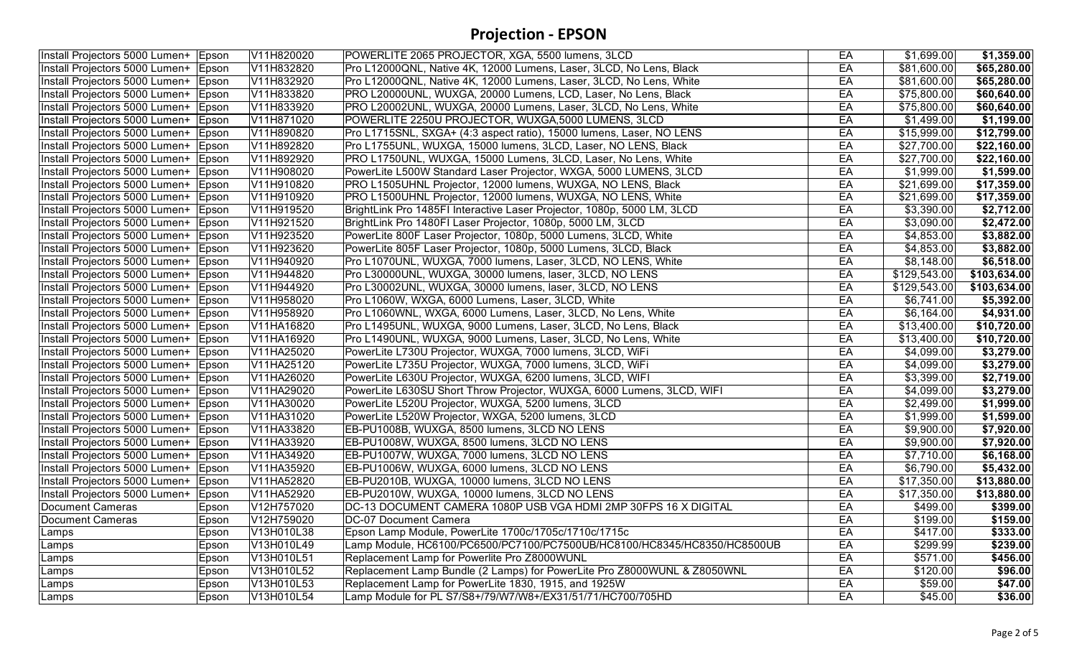| Install Projectors 5000 Lumen+ Epson   |       | V11H820020 | POWERLITE 2065 PROJECTOR, XGA, 5500 lumens, 3LCD                         | EA | \$1,699.00   | \$1,359.00              |
|----------------------------------------|-------|------------|--------------------------------------------------------------------------|----|--------------|-------------------------|
| Install Projectors 5000 Lumen+   Epson |       | V11H832820 | Pro L12000QNL, Native 4K, 12000 Lumens, Laser, 3LCD, No Lens, Black      | EA | \$81,600.00  | \$65,280.00             |
| Install Projectors 5000 Lumen+ Epson   |       | V11H832920 | Pro L12000QNL, Native 4K, 12000 Lumens, Laser, 3LCD, No Lens, White      | EA | \$81,600.00  | \$65,280.00             |
| Install Projectors 5000 Lumen+ Epson   |       | V11H833820 | PRO L20000UNL, WUXGA, 20000 Lumens, LCD, Laser, No Lens, Black           | EA | \$75,800.00  | \$60,640.00             |
| Install Projectors 5000 Lumen+ Epson   |       | V11H833920 | PRO L20002UNL, WUXGA, 20000 Lumens, Laser, 3LCD, No Lens, White          | EA | \$75,800.00  | \$60,640.00             |
| Install Projectors 5000 Lumen+ Epson   |       | V11H871020 | POWERLITE 2250U PROJECTOR, WUXGA,5000 LUMENS, 3LCD                       | EA | \$1,499.00   | \$1,199.00              |
| Install Projectors 5000 Lumen+ Epson   |       | V11H890820 | Pro L1715SNL, SXGA+ (4:3 aspect ratio), 15000 lumens, Laser, NO LENS     | EA | \$15,999.00  | \$12,799.00             |
| Install Projectors 5000 Lumen+ Epson   |       | V11H892820 | Pro L1755UNL, WUXGA, 15000 lumens, 3LCD, Laser, NO LENS, Black           | EA | \$27,700.00  | $\overline{$22,160.00}$ |
| Install Projectors 5000 Lumen+   Epson |       | V11H892920 | PRO L1750UNL, WUXGA, 15000 Lumens, 3LCD, Laser, No Lens, White           | EA | \$27,700.00  | \$22,160.00             |
| Install Projectors 5000 Lumen+ Epson   |       | V11H908020 | PowerLite L500W Standard Laser Projector, WXGA, 5000 LUMENS, 3LCD        | EA | \$1,999.00   | \$1,599.00              |
| Install Projectors 5000 Lumen+ Epson   |       | V11H910820 | PRO L1505UHNL Projector, 12000 lumens, WUXGA, NO LENS, Black             | EA | \$21,699.00  | \$17,359.00             |
| Install Projectors 5000 Lumen+ Epson   |       | V11H910920 | PRO L1500UHNL Projector, 12000 lumens, WUXGA, NO LENS, White             | EA | \$21,699.00  | \$17,359.00             |
| Install Projectors 5000 Lumen+ Epson   |       | V11H919520 | BrightLink Pro 1485FI Interactive Laser Projector, 1080p, 5000 LM, 3LCD  | EA | \$3,390.00   | \$2,712.00              |
| Install Projectors 5000 Lumen+ Epson   |       | V11H921520 | BrightLink Pro 1480FI Laser Projector, 1080p, 5000 LM, 3LCD              | EA | \$3,090.00   | \$2,472.00              |
| Install Projectors 5000 Lumen+ Epson   |       | V11H923520 | PowerLite 800F Laser Projector, 1080p, 5000 Lumens, 3LCD, White          | EA | \$4,853.00   | \$3,882.00              |
| Install Projectors 5000 Lumen+ Epson   |       | V11H923620 | PowerLite 805F Laser Projector, 1080p, 5000 Lumens, 3LCD, Black          | EA | \$4,853.00   | \$3,882.00              |
| Install Projectors 5000 Lumen+ Epson   |       | V11H940920 | Pro L1070UNL, WUXGA, 7000 lumens, Laser, 3LCD, NO LENS, White            | EA | \$8,148.00   | \$6,518.00              |
| Install Projectors 5000 Lumen+ Epson   |       | V11H944820 | Pro L30000UNL, WUXGA, 30000 lumens, laser, 3LCD, NO LENS                 | EA | \$129,543.00 | \$103,634.00            |
| Install Projectors 5000 Lumen+ Epson   |       | V11H944920 | Pro L30002UNL, WUXGA, 30000 lumens, laser, 3LCD, NO LENS                 | EA | \$129,543.00 | \$103,634.00            |
| Install Projectors 5000 Lumen+ Epson   |       | V11H958020 | Pro L1060W, WXGA, 6000 Lumens, Laser, 3LCD, White                        | EA | \$6,741.00   | \$5,392.00              |
| Install Projectors 5000 Lumen+ Epson   |       | V11H958920 | Pro L1060WNL, WXGA, 6000 Lumens, Laser, 3LCD, No Lens, White             | EA | \$6,164.00   | \$4,931.00              |
| Install Projectors 5000 Lumen+ Epson   |       | V11HA16820 | Pro L1495UNL, WUXGA, 9000 Lumens, Laser, 3LCD, No Lens, Black            | EA | \$13,400.00  | \$10,720.00             |
| Install Projectors 5000 Lumen+ Epson   |       | V11HA16920 | Pro L1490UNL, WUXGA, 9000 Lumens, Laser, 3LCD, No Lens, White            | EA | \$13,400.00  | \$10,720.00             |
| Install Projectors 5000 Lumen+ Epson   |       | V11HA25020 | PowerLite L730U Projector, WUXGA, 7000 lumens, 3LCD, WiFi                | EA | \$4,099.00   | \$3,279.00              |
| Install Projectors 5000 Lumen+ Epson   |       | V11HA25120 | PowerLite L735U Projector, WUXGA, 7000 lumens, 3LCD, WiFi                | EA | \$4,099.00   | \$3,279.00              |
| Install Projectors 5000 Lumen+ Epson   |       | V11HA26020 | PowerLite L630U Projector, WUXGA, 6200 lumens, 3LCD, WIFI                | EA | \$3,399.00   | \$2,719.00              |
| Install Projectors 5000 Lumen+ Epson   |       | V11HA29020 | PowerLite L630SU Short Throw Projector, WUXGA, 6000 Lumens, 3LCD, WIFI   | EA | \$4,099.00   | \$3,279.00              |
| Install Projectors 5000 Lumen+ Epson   |       | V11HA30020 | PowerLite L520U Projector, WUXGA, 5200 lumens, 3LCD                      | EA | \$2,499.00   | \$1,999.00              |
| Install Projectors 5000 Lumen+ Epson   |       | V11HA31020 | PowerLite L520W Projector, WXGA, 5200 lumens, 3LCD                       | EA | \$1,999.00   | \$1,599.00              |
| Install Projectors 5000 Lumen+ Epson   |       | V11HA33820 | EB-PU1008B, WUXGA, 8500 lumens, 3LCD NO LENS                             | EA | \$9,900.00   | \$7,920.00              |
| Install Projectors 5000 Lumen+   Epson |       | V11HA33920 | EB-PU1008W, WUXGA, 8500 lumens, 3LCD NO LENS                             | EA | \$9,900.00   | \$7,920.00              |
| Install Projectors 5000 Lumen+ Epson   |       | V11HA34920 | EB-PU1007W, WUXGA, 7000 lumens, 3LCD NO LENS                             | EA | \$7,710.00   | \$6,168.00              |
| Install Projectors 5000 Lumen+ Epson   |       | V11HA35920 | EB-PU1006W, WUXGA, 6000 lumens, 3LCD NO LENS                             | EA | \$6,790.00   | \$5,432.00              |
| Install Projectors 5000 Lumen+   Epson |       | V11HA52820 | EB-PU2010B, WUXGA, 10000 lumens, 3LCD NO LENS                            | EA | \$17,350.00  | \$13,880.00             |
| Install Projectors 5000 Lumen+ Epson   |       | V11HA52920 | EB-PU2010W, WUXGA, 10000 lumens, 3LCD NO LENS                            | EA | \$17,350.00  | \$13,880.00             |
| <b>Document Cameras</b>                | Epson | V12H757020 | DC-13 DOCUMENT CAMERA 1080P USB VGA HDMI 2MP 30FPS 16 X DIGITAL          | EA | \$499.00     | \$399.00                |
| <b>Document Cameras</b>                | Epson | V12H759020 | <b>DC-07 Document Camera</b>                                             | EA | \$199.00     | \$159.00                |
| Lamps                                  | Epson | V13H010L38 | Epson Lamp Module, PowerLite 1700c/1705c/1710c/1715c                     | EA | \$417.00     | \$333.00                |
| Lamps                                  | Epson | V13H010L49 | Lamp Module, HC6100/PC6500/PC7100/PC7500UB/HC8100/HC8345/HC8350/HC8500UB | EA | \$299.99     | \$239.00                |
| Lamps                                  | Epson | V13H010L51 | Replacement Lamp for Powerlite Pro Z8000WUNL                             | EA | \$571.00     | \$456.00                |
| Lamps                                  | Epson | V13H010L52 | Replacement Lamp Bundle (2 Lamps) for PowerLite Pro Z8000WUNL & Z8050WNL | EA | \$120.00     | \$96.00                 |
| Lamps                                  | Epson | V13H010L53 | Replacement Lamp for PowerLite 1830, 1915, and 1925W                     | EA | \$59.00      | \$47.00                 |
| Lamps                                  | Epson | V13H010L54 | Lamp Module for PL S7/S8+/79/W7/W8+/EX31/51/71/HC700/705HD               | EA | \$45.00      | \$36.00                 |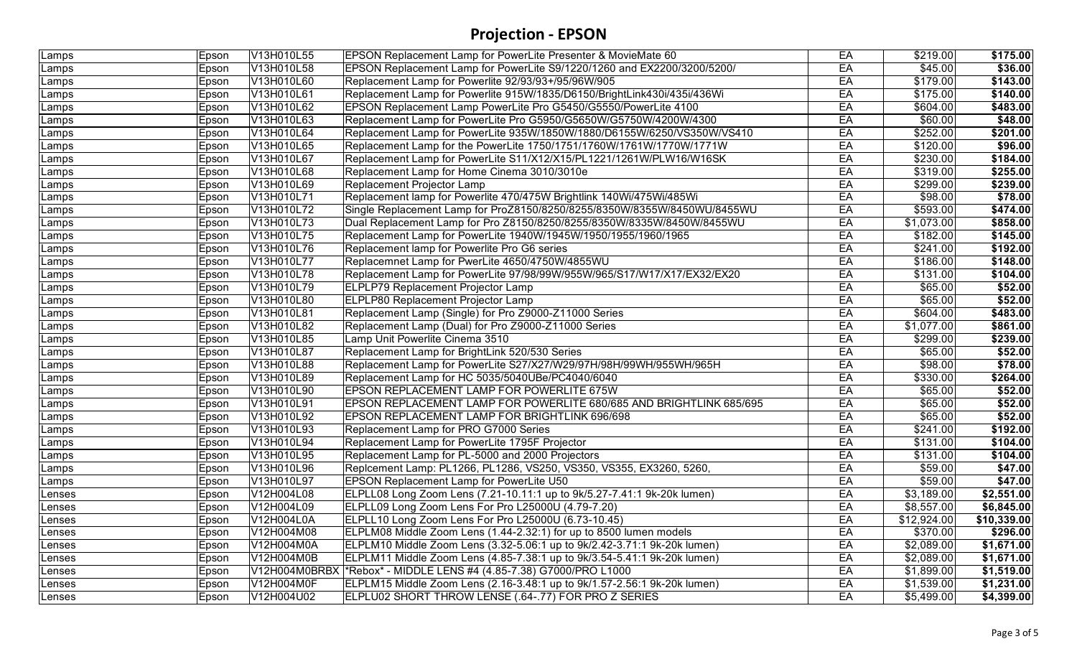| Lamps  | Epson | V13H010L55 | EPSON Replacement Lamp for PowerLite Presenter & MovieMate 60            | EA | \$219.00    | \$175.00    |
|--------|-------|------------|--------------------------------------------------------------------------|----|-------------|-------------|
| Lamps  | Epson | V13H010L58 | EPSON Replacement Lamp for PowerLite S9/1220/1260 and EX2200/3200/5200/  | EA | \$45.00     | \$36.00     |
| Lamps  | Epson | V13H010L60 | Replacement Lamp for Powerlite 92/93/93+/95/96W/905                      | EA | \$179.00    | \$143.00    |
| Lamps  | Epson | V13H010L61 | Replacement Lamp for Powerlite 915W/1835/D6150/BrightLink430i/435i/436Wi | EA | \$175.00    | \$140.00    |
| Lamps  | Epson | V13H010L62 | EPSON Replacement Lamp PowerLite Pro G5450/G5550/PowerLite 4100          | EA | \$604.00    | \$483.00    |
| Lamps  | Epson | V13H010L63 | Replacement Lamp for PowerLite Pro G5950/G5650W/G5750W/4200W/4300        | EA | \$60.00     | \$48.00     |
| Lamps  | Epson | V13H010L64 | Replacement Lamp for PowerLite 935W/1850W/1880/D6155W/6250/VS350W/VS410  | EA | \$252.00    | \$201.00    |
| Lamps  | Epson | V13H010L65 | Replacement Lamp for the PowerLite 1750/1751/1760W/1761W/1770W/1771W     | EA | \$120.00    | \$96.00     |
| Lamps  | Epson | V13H010L67 | Replacement Lamp for PowerLite S11/X12/X15/PL1221/1261W/PLW16/W16SK      | EA | \$230.00    | \$184.00    |
| Lamps  | Epson | V13H010L68 | Replacement Lamp for Home Cinema 3010/3010e                              | EA | \$319.00    | \$255.00    |
| _amps  | Epson | V13H010L69 | Replacement Projector Lamp                                               | EA | \$299.00    | \$239.00    |
| Lamps  | Epson | V13H010L71 | Replacement lamp for Powerlite 470/475W Brightlink 140Wi/475Wi/485Wi     | EA | \$98.00     | \$78.00     |
| Lamps  | Epson | V13H010L72 | Single Replacement Lamp for ProZ8150/8250/8255/8350W/8355W/8450WU/8455WU | EA | \$593.00    | \$474.00    |
| Lamps  | Epson | V13H010L73 | Dual Replacement Lamp for Pro Z8150/8250/8255/8350W/8335W/8450W/8455WU   | EA | \$1,073.00  | \$858.00    |
| Lamps  | Epson | V13H010L75 | Replacement Lamp for PowerLite 1940W/1945W/1950/1955/1960/1965           | EA | \$182.00    | \$145.00    |
| Lamps  | Epson | V13H010L76 | Replacement lamp for Powerlite Pro G6 series                             | EA | \$241.00    | \$192.00    |
| Lamps  | Epson | V13H010L77 | Replacemnet Lamp for PwerLite 4650/4750W/4855WU                          | EA | \$186.00    | \$148.00    |
| Lamps  | Epson | V13H010L78 | Replacement Lamp for PowerLite 97/98/99W/955W/965/S17/W17/X17/EX32/EX20  | EA | \$131.00    | \$104.00    |
| Lamps  | Epson | V13H010L79 | ELPLP79 Replacement Projector Lamp                                       | EA | \$65.00     | \$52.00     |
| Lamps  | Epson | V13H010L80 | <b>ELPLP80 Replacement Projector Lamp</b>                                | EA | \$65.00     | \$52.00     |
| Lamps  | Epson | V13H010L81 | Replacement Lamp (Single) for Pro Z9000-Z11000 Series                    | EA | \$604.00    | \$483.00    |
| _amps  | Epson | V13H010L82 | Replacement Lamp (Dual) for Pro Z9000-Z11000 Series                      | EA | \$1,077.00  | \$861.00    |
| Lamps  | Epson | V13H010L85 | Lamp Unit Powerlite Cinema 3510                                          | EA | \$299.00    | \$239.00    |
| Lamps  | Epson | V13H010L87 | Replacement Lamp for BrightLink 520/530 Series                           | EA | \$65.00     | \$52.00     |
| Lamps  | Epson | V13H010L88 | Replacement Lamp for PowerLite S27/X27/W29/97H/98H/99WH/955WH/965H       | EA | \$98.00     | \$78.00     |
| Lamps  | Epson | V13H010L89 | Replacement Lamp for HC 5035/5040UBe/PC4040/6040                         | EA | \$330.00    | \$264.00    |
| Lamps  | Epson | V13H010L90 | EPSON REPLACEMENT LAMP FOR POWERLITE 675W                                | EA | \$65.00     | \$52.00     |
| Lamps  | Epson | V13H010L91 | EPSON REPLACEMENT LAMP FOR POWERLITE 680/685 AND BRIGHTLINK 685/695      | EA | \$65.00     | \$52.00     |
| Lamps  | Epson | V13H010L92 | EPSON REPLACEMENT LAMP FOR BRIGHTLINK 696/698                            | EA | \$65.00     | \$52.00     |
| Lamps  | Epson | V13H010L93 | Replacement Lamp for PRO G7000 Series                                    | EA | \$241.00    | \$192.00    |
| Lamps  | Epson | V13H010L94 | Replacement Lamp for PowerLite 1795F Projector                           | EA | \$131.00    | \$104.00    |
| Lamps  | Epson | V13H010L95 | Replacement Lamp for PL-5000 and 2000 Projectors                         | EA | \$131.00    | \$104.00    |
| Lamps  | Epson | V13H010L96 | Replcement Lamp: PL1266, PL1286, VS250, VS350, VS355, EX3260, 5260,      | EA | \$59.00     | \$47.00     |
| _amps  | Epson | V13H010L97 | <b>EPSON Replacement Lamp for PowerLite U50</b>                          | EA | \$59.00     | \$47.00     |
| Lenses | Epson | V12H004L08 | ELPLL08 Long Zoom Lens (7.21-10.11:1 up to 9k/5.27-7.41:1 9k-20k lumen)  | EA | \$3,189.00  | \$2,551.00  |
| Lenses | Epson | V12H004L09 | ELPLL09 Long Zoom Lens For Pro L25000U (4.79-7.20)                       | EA | \$8,557.00  | \$6,845.00  |
| Lenses | Epson | V12H004L0A | ELPLL10 Long Zoom Lens For Pro L25000U (6.73-10.45)                      | EA | \$12,924.00 | \$10,339.00 |
| Lenses | Epson | V12H004M08 | ELPLM08 Middle Zoom Lens (1.44-2.32:1) for up to 8500 lumen models       | EA | \$370.00    | \$296.00    |
| Lenses | Epson | V12H004M0A | ELPLM10 Middle Zoom Lens (3.32-5.06:1 up to 9k/2.42-3.71:1 9k-20k lumen) | EA | \$2,089.00  | \$1,671.00  |
| Lenses | Epson | V12H004M0B | ELPLM11 Middle Zoom Lens (4.85-7.38:1 up to 9k/3.54-5.41:1 9k-20k lumen) | EA | \$2,089.00  | \$1,671.00  |
| Lenses | Epson |            | V12H004M0BRBX *Rebox* - MIDDLE LENS #4 (4.85-7.38) G7000/PRO L1000       | EA | \$1,899.00  | \$1,519.00  |
| Lenses | Epson | V12H004M0F | ELPLM15 Middle Zoom Lens (2.16-3.48:1 up to 9k/1.57-2.56:1 9k-20k lumen) | EA | \$1,539.00  | \$1,231.00  |
| Lenses | Epson | V12H004U02 | ELPLU02 SHORT THROW LENSE (.64-.77) FOR PRO Z SERIES                     | EA | \$5,499.00  | \$4,399.00  |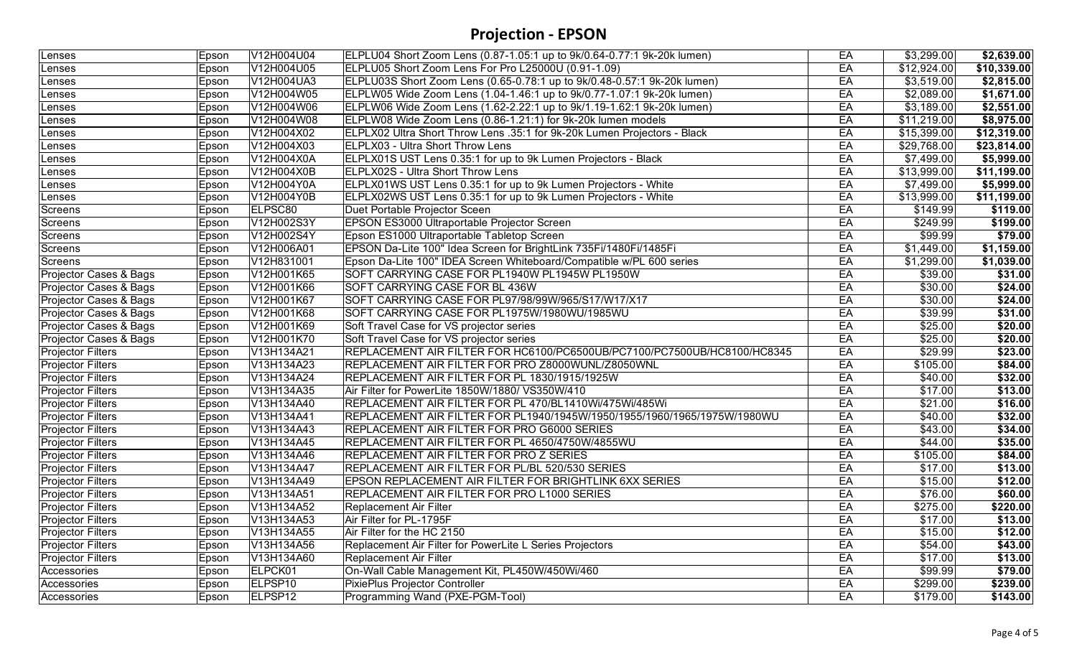| Lenses                   | Epson | V12H004U04          | ELPLU04 Short Zoom Lens (0.87-1.05:1 up to 9k/0.64-0.77:1 9k-20k lumen)  | EA | \$3,299.00  | \$2,639.00  |
|--------------------------|-------|---------------------|--------------------------------------------------------------------------|----|-------------|-------------|
| Lenses                   | Epson | V12H004U05          | ELPLU05 Short Zoom Lens For Pro L25000U (0.91-1.09)                      | EA | \$12,924.00 | \$10,339.00 |
| Lenses                   | Epson | V12H004UA3          | ELPLU03S Short Zoom Lens (0.65-0.78:1 up to 9k/0.48-0.57:1 9k-20k lumen) | EA | \$3,519.00  | \$2,815.00  |
| Lenses                   | Epson | V12H004W05          | ELPLW05 Wide Zoom Lens (1.04-1.46:1 up to 9k/0.77-1.07:1 9k-20k lumen)   | EA | \$2,089.00  | \$1,671.00  |
| Lenses                   | Epson | V12H004W06          | ELPLW06 Wide Zoom Lens (1.62-2.22:1 up to 9k/1.19-1.62:1 9k-20k lumen)   | EA | \$3,189.00  | \$2,551.00  |
| Lenses                   | Epson | V12H004W08          | ELPLW08 Wide Zoom Lens (0.86-1.21:1) for 9k-20k lumen models             | EA | \$11,219.00 | \$8,975.00  |
| Lenses                   | Epson | V12H004X02          | ELPLX02 Ultra Short Throw Lens .35:1 for 9k-20k Lumen Projectors - Black | EA | \$15,399.00 | \$12,319.00 |
| Lenses                   | Epson | V12H004X03          | ELPLX03 - Ultra Short Throw Lens                                         | EA | \$29,768.00 | \$23,814.00 |
| Lenses                   | Epson | V12H004X0A          | ELPLX01S UST Lens 0.35:1 for up to 9k Lumen Projectors - Black           | EA | \$7,499.00  | \$5,999.00  |
| Lenses                   | Epson | V12H004X0B          | <b>ELPLX02S - Ultra Short Throw Lens</b>                                 | EA | \$13,999.00 | \$11,199.00 |
| Lenses                   | Epson | V12H004Y0A          | ELPLX01WS UST Lens 0.35:1 for up to 9k Lumen Projectors - White          | EA | \$7,499.00  | \$5,999.00  |
| Lenses                   | Epson | V12H004Y0B          | ELPLX02WS UST Lens 0.35:1 for up to 9k Lumen Projectors - White          | EA | \$13,999.00 | \$11,199.00 |
| Screens                  | Epson | ELPSC80             | Duet Portable Projector Sceen                                            | EA | \$149.99    | \$119.00    |
| Screens                  | Epson | V12H002S3Y          | EPSON ES3000 Ultraportable Projector Screen                              | EA | \$249.99    | \$199.00    |
| Screens                  | Epson | V12H002S4Y          | Epson ES1000 Ultraportable Tabletop Screen                               | EA | \$99.99     | \$79.00     |
| <b>Screens</b>           | Epson | V12H006A01          | EPSON Da-Lite 100" Idea Screen for BrightLink 735Fi/1480Fi/1485Fi        | EA | \$1,449.00  | \$1,159.00  |
| Screens                  | Epson | V12H831001          | Epson Da-Lite 100" IDEA Screen Whiteboard/Compatible w/PL 600 series     | EA | \$1,299.00  | \$1,039.00  |
| Projector Cases & Bags   | Epson | V12H001K65          | SOFT CARRYING CASE FOR PL1940W PL1945W PL1950W                           | EA | \$39.00     | \$31.00     |
| Projector Cases & Bags   | Epson | V12H001K66          | SOFT CARRYING CASE FOR BL 436W                                           | EA | \$30.00     | \$24.00     |
| Projector Cases & Bags   | Epson | V12H001K67          | SOFT CARRYING CASE FOR PL97/98/99W/965/S17/W17/X17                       | EA | \$30.00     | \$24.00     |
| Projector Cases & Bags   | Epson | V12H001K68          | SOFT CARRYING CASE FOR PL1975W/1980WU/1985WU                             | EA | \$39.99     | \$31.00     |
| Projector Cases & Bags   | Epson | V12H001K69          | Soft Travel Case for VS projector series                                 | EA | \$25.00     | \$20.00     |
| Projector Cases & Bags   | Epson | V12H001K70          | Soft Travel Case for VS projector series                                 | EA | \$25.00     | \$20.00     |
| <b>Projector Filters</b> | Epson | V13H134A21          | REPLACEMENT AIR FILTER FOR HC6100/PC6500UB/PC7100/PC7500UB/HC8100/HC8345 | EA | \$29.99     | \$23.00     |
| <b>Projector Filters</b> | Epson | V13H134A23          | REPLACEMENT AIR FILTER FOR PRO Z8000WUNL/Z8050WNL                        | EA | \$105.00    | \$84.00     |
| <b>Projector Filters</b> | Epson | V13H134A24          | REPLACEMENT AIR FILTER FOR PL 1830/1915/1925W                            | EA | \$40.00     | \$32.00     |
| <b>Projector Filters</b> | Epson | V13H134A35          | Air Filter for PowerLite 1850W/1880/ VS350W/410                          | EA | \$17.00     | \$13.00     |
| <b>Projector Filters</b> | Epson | V13H134A40          | REPLACEMENT AIR FILTER FOR PL 470/BL1410Wi/475Wi/485Wi                   | EA | \$21.00     | \$16.00     |
| <b>Projector Filters</b> | Epson | V13H134A41          | REPLACEMENT AIR FILTER FOR PL1940/1945W/1950/1955/1960/1965/1975W/1980WU | EA | \$40.00     | \$32.00     |
| Projector Filters        | Epson | V13H134A43          | REPLACEMENT AIR FILTER FOR PRO G6000 SERIES                              | EA | \$43.00     | \$34.00     |
| <b>Projector Filters</b> | Epson | V13H134A45          | REPLACEMENT AIR FILTER FOR PL 4650/4750W/4855WU                          | EA | \$44.00     | \$35.00     |
| <b>Projector Filters</b> | Epson | V13H134A46          | REPLACEMENT AIR FILTER FOR PRO Z SERIES                                  | EA | \$105.00    | \$84.00     |
| <b>Projector Filters</b> | Epson | V13H134A47          | REPLACEMENT AIR FILTER FOR PL/BL 520/530 SERIES                          | EA | \$17.00     | \$13.00     |
| <b>Projector Filters</b> | Epson | V13H134A49          | EPSON REPLACEMENT AIR FILTER FOR BRIGHTLINK 6XX SERIES                   | EA | \$15.00     | \$12.00     |
| <b>Projector Filters</b> | Epson | V13H134A51          | REPLACEMENT AIR FILTER FOR PRO L1000 SERIES                              | EA | \$76.00     | \$60.00     |
| <b>Projector Filters</b> | Epson | V13H134A52          | <b>Replacement Air Filter</b>                                            | EA | \$275.00    | \$220.00    |
| <b>Projector Filters</b> | Epson | V13H134A53          | Air Filter for PL-1795F                                                  | EA | \$17.00     | \$13.00     |
| <b>Projector Filters</b> | Epson | V13H134A55          | Air Filter for the HC 2150                                               | EA | \$15.00     | \$12.00     |
| <b>Projector Filters</b> | Epson | V13H134A56          | Replacement Air Filter for PowerLite L Series Projectors                 | EA | \$54.00     | \$43.00     |
| <b>Projector Filters</b> | Epson | V13H134A60          | <b>Replacement Air Filter</b>                                            | EA | \$17.00     | \$13.00     |
| Accessories              | Epson | ELPCK01             | On-Wall Cable Management Kit, PL450W/450Wi/460                           | EA | \$99.99     | \$79.00     |
| Accessories              | Epson | ELPSP <sub>10</sub> | PixiePlus Projector Controller                                           | EA | \$299.00    | \$239.00    |
| Accessories              | Epson | ELPSP <sub>12</sub> | Programming Wand (PXE-PGM-Tool)                                          | EA | \$179.00    | \$143.00    |
|                          |       |                     |                                                                          |    |             |             |